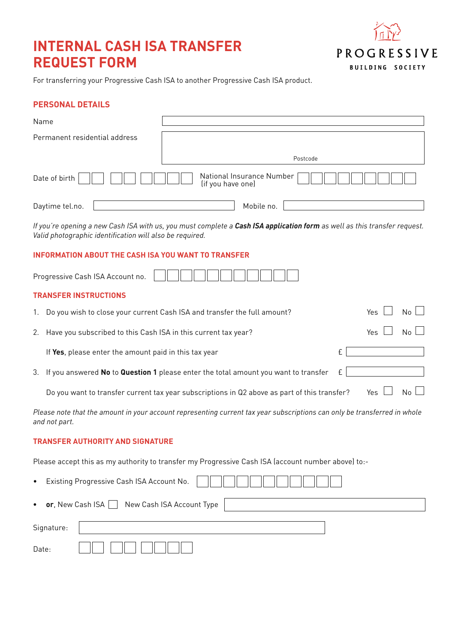# **INTERNAL CASH ISA TRANSFER REQUEST FORM**



For transferring your Progressive Cash ISA to another Progressive Cash ISA product.

## **PERSONAL DETAILS**

| Name                          |                                                |
|-------------------------------|------------------------------------------------|
| Permanent residential address |                                                |
|                               | Postcode                                       |
| Date of birth                 | National Insurance Number<br>(if you have one) |
| Daytime tel.no.               | Mobile no.                                     |

*If you're opening a new Cash ISA with us, you must complete a Cash ISA application form as well as this transfer request. Valid photographic identification will also be required.* 

## **INFORMATION ABOUT THE CASH ISA YOU WANT TO TRANSFER**

| Progressive Cash ISA Account no |  |  |  |  |  |  |  |  |  |  |  |  |
|---------------------------------|--|--|--|--|--|--|--|--|--|--|--|--|
|---------------------------------|--|--|--|--|--|--|--|--|--|--|--|--|

### **TRANSFER INSTRUCTIONS**

| 1. Do you wish to close your current Cash ISA and transfer the full amount?                              | Yes   | $No$ $\vert$ |
|----------------------------------------------------------------------------------------------------------|-------|--------------|
| 2. Have you subscribed to this Cash ISA in this current tax year?                                        | Yes I | $N_0$        |
| If Yes, please enter the amount paid in this tax year                                                    |       |              |
| 3. If you answered <b>No</b> to <b>Question 1</b> please enter the total amount you want to transfer $E$ |       |              |
| Do you want to transfer current tax year subscriptions in Q2 above as part of this transfer?             | Yes   | $No$ $\Box$  |

*Please note that the amount in your account representing current tax year subscriptions can only be transferred in whole and not part.*

## **TRANSFER AUTHORITY AND SIGNATURE**

Please accept this as my authority to transfer my Progressive Cash ISA (account number above) to:-

| $\bullet$ |                                                     | Existing Progressive Cash ISA Account No. |  |  |  |  |  |
|-----------|-----------------------------------------------------|-------------------------------------------|--|--|--|--|--|
|           | • or, New Cash ISA $\Box$ New Cash ISA Account Type |                                           |  |  |  |  |  |
|           | Signature:                                          |                                           |  |  |  |  |  |
| Date:     |                                                     |                                           |  |  |  |  |  |